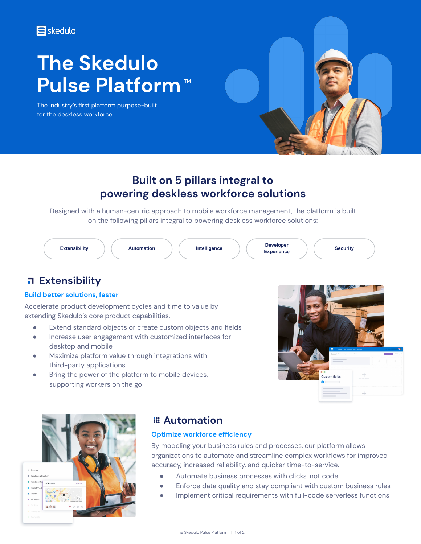### **E**skedulo

# **The Skedulo Pulse Platform™**

The industry's first platform purpose-built for the deskless workforce



## **Built on 5 pillars integral to powering deskless workforce solutions**

Designed with a human-centric approach to mobile workforce management, the platform is built on the following pillars integral to powering deskless workforce solutions:



## **Extensibility**

#### **Build better solutions, faster**

Accelerate product development cycles and time to value by extending Skedulo's core product capabilities.

- Extend standard objects or create custom objects and fields
- Increase user engagement with customized interfaces for desktop and mobile
- Maximize platform value through integrations with third-party applications
- Bring the power of the platform to mobile devices, supporting workers on the go





### **Automation**

#### **Optimize workforce efficiency**

By modeling your business rules and processes, our platform allows organizations to automate and streamline complex workflows for improved accuracy, increased reliability, and quicker time-to-service.

- Automate business processes with clicks, not code
- Enforce data quality and stay compliant with custom business rules
- Implement critical requirements with full-code serverless functions